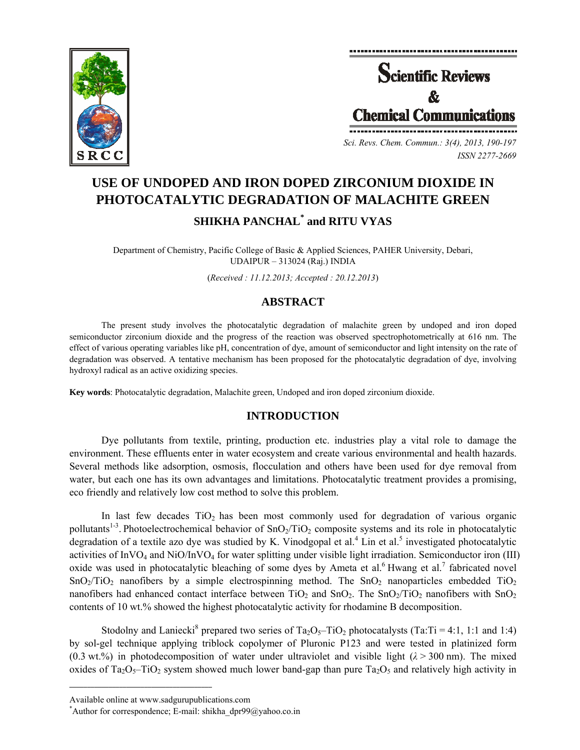



*Sci. Revs. Chem. Commun.: 3(4), 2013, 190-197 ISSN 2277-2669* 

# **USE OF UNDOPED AND IRON DOPED ZIRCONIUM DIOXIDE IN PHOTOCATALYTIC DEGRADATION OF MALACHITE GREEN SHIKHA PANCHAL\* and RITU VYAS**

Department of Chemistry, Pacific College of Basic & Applied Sciences, PAHER University, Debari, UDAIPUR – 313024 (Raj.) INDIA

(*Received : 11.12.2013; Accepted : 20.12.2013*)

# **ABSTRACT**

The present study involves the photocatalytic degradation of malachite green by undoped and iron doped semiconductor zirconium dioxide and the progress of the reaction was observed spectrophotometrically at 616 nm. The effect of various operating variables like pH, concentration of dye, amount of semiconductor and light intensity on the rate of degradation was observed. A tentative mechanism has been proposed for the photocatalytic degradation of dye, involving hydroxyl radical as an active oxidizing species.

**Key words**: Photocatalytic degradation, Malachite green, Undoped and iron doped zirconium dioxide.

## **INTRODUCTION**

Dye pollutants from textile, printing, production etc. industries play a vital role to damage the environment. These effluents enter in water ecosystem and create various environmental and health hazards. Several methods like adsorption, osmosis, flocculation and others have been used for dye removal from water, but each one has its own advantages and limitations. Photocatalytic treatment provides a promising, eco friendly and relatively low cost method to solve this problem.

In last few decades  $TiO<sub>2</sub>$  has been most commonly used for degradation of various organic pollutants<sup>1-3</sup>. Photoelectrochemical behavior of  $SnO<sub>2</sub>/TiO<sub>2</sub>$  composite systems and its role in photocatalytic degradation of a textile azo dye was studied by K. Vinodgopal et al.<sup>4</sup> Lin et al.<sup>5</sup> investigated photocatalytic activities of  $InVO<sub>4</sub>$  and  $NiO/InVO<sub>4</sub>$  for water splitting under visible light irradiation. Semiconductor iron (III) oxide was used in photocatalytic bleaching of some dyes by Ameta et al.<sup>6</sup> Hwang et al.<sup>7</sup> fabricated novel  $SnO<sub>2</sub>/TiO<sub>2</sub>$  nanofibers by a simple electrospinning method. The  $SnO<sub>2</sub>$  nanoparticles embedded TiO<sub>2</sub> nanofibers had enhanced contact interface between  $TiO<sub>2</sub>$  and  $SnO<sub>2</sub>$ . The  $SnO<sub>2</sub>/TiO<sub>2</sub>$  nanofibers with  $SnO<sub>2</sub>$ contents of 10 wt.% showed the highest photocatalytic activity for rhodamine B decomposition.

Stodolny and Laniecki<sup>8</sup> prepared two series of Ta<sub>2</sub>O<sub>5</sub>-TiO<sub>2</sub> photocatalysts (Ta:Ti = 4:1, 1:1 and 1:4) by sol-gel technique applying triblock copolymer of Pluronic P123 and were tested in platinized form (0.3 wt.%) in photodecomposition of water under ultraviolet and visible light  $(\lambda > 300 \text{ nm})$ . The mixed oxides of Ta<sub>2</sub>O<sub>5</sub>–TiO<sub>2</sub> system showed much lower band-gap than pure Ta<sub>2</sub>O<sub>5</sub> and relatively high activity in

**\_\_\_\_\_\_\_\_\_\_\_\_\_\_\_\_\_\_\_\_\_\_\_\_\_\_\_\_\_\_\_\_\_\_\_\_\_\_\_\_**

Available online at www.sadgurupublications.com \*

<sup>\*</sup>Author for correspondence; E-mail: shikha\_dpr99@yahoo.co.in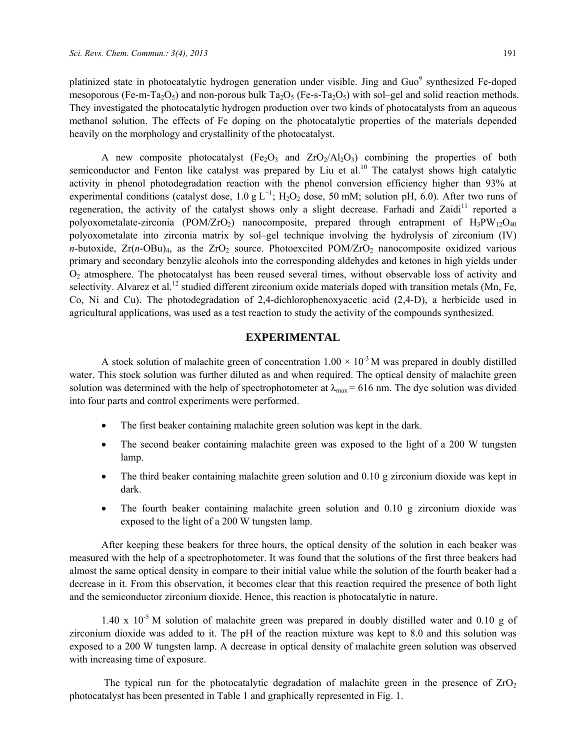platinized state in photocatalytic hydrogen generation under visible. Jing and Guo<sup>9</sup> synthesized Fe-doped mesoporous (Fe-m-Ta<sub>2</sub>O<sub>5</sub>) and non-porous bulk Ta<sub>2</sub>O<sub>5</sub> (Fe-s-Ta<sub>2</sub>O<sub>5</sub>) with sol–gel and solid reaction methods. They investigated the photocatalytic hydrogen production over two kinds of photocatalysts from an aqueous methanol solution. The effects of Fe doping on the photocatalytic properties of the materials depended heavily on the morphology and crystallinity of the photocatalyst.

A new composite photocatalyst (Fe<sub>2</sub>O<sub>3</sub> and  $ZrO<sub>2</sub>/Al<sub>2</sub>O<sub>3</sub>$ ) combining the properties of both semiconductor and Fenton like catalyst was prepared by Liu et al.<sup>10</sup> The catalyst shows high catalytic activity in phenol photodegradation reaction with the phenol conversion efficiency higher than 93% at experimental conditions (catalyst dose, 1.0 g L<sup>-1</sup>; H<sub>2</sub>O<sub>2</sub> dose, 50 mM; solution pH, 6.0). After two runs of regeneration, the activity of the catalyst shows only a slight decrease. Farhadi and Zaidi<sup>11</sup> reported a polyoxometalate-zirconia (POM/ZrO<sub>2</sub>) nanocomposite, prepared through entrapment of  $H_3PW_{12}O_{40}$ polyoxometalate into zirconia matrix by sol–gel technique involving the hydrolysis of zirconium (IV) *n*-butoxide,  $Zr(n-OBu)_{4}$ , as the  $ZrO_{2}$  source. Photoexcited POM/ $ZrO_{2}$  nanocomposite oxidized various primary and secondary benzylic alcohols into the corresponding aldehydes and ketones in high yields under O2 atmosphere. The photocatalyst has been reused several times, without observable loss of activity and selectivity. Alvarez et al.<sup>12</sup> studied different zirconium oxide materials doped with transition metals (Mn, Fe, Co, Ni and Cu). The photodegradation of 2,4-dichlorophenoxyacetic acid (2,4-D), a herbicide used in agricultural applications, was used as a test reaction to study the activity of the compounds synthesized.

## **EXPERIMENTAL**

A stock solution of malachite green of concentration  $1.00 \times 10^{-3}$  M was prepared in doubly distilled water. This stock solution was further diluted as and when required. The optical density of malachite green solution was determined with the help of spectrophotometer at  $\lambda_{\text{max}} = 616$  nm. The dye solution was divided into four parts and control experiments were performed.

- The first beaker containing malachite green solution was kept in the dark.
- The second beaker containing malachite green was exposed to the light of a 200 W tungsten lamp.
- The third beaker containing malachite green solution and 0.10 g zirconium dioxide was kept in dark.
- The fourth beaker containing malachite green solution and 0.10 g zirconium dioxide was exposed to the light of a 200 W tungsten lamp.

After keeping these beakers for three hours, the optical density of the solution in each beaker was measured with the help of a spectrophotometer. It was found that the solutions of the first three beakers had almost the same optical density in compare to their initial value while the solution of the fourth beaker had a decrease in it. From this observation, it becomes clear that this reaction required the presence of both light and the semiconductor zirconium dioxide. Hence, this reaction is photocatalytic in nature.

 $1.40 \times 10^{-5}$  M solution of malachite green was prepared in doubly distilled water and 0.10 g of zirconium dioxide was added to it. The pH of the reaction mixture was kept to 8.0 and this solution was exposed to a 200 W tungsten lamp. A decrease in optical density of malachite green solution was observed with increasing time of exposure.

The typical run for the photocatalytic degradation of malachite green in the presence of  $ZrO<sub>2</sub>$ photocatalyst has been presented in Table 1 and graphically represented in Fig. 1.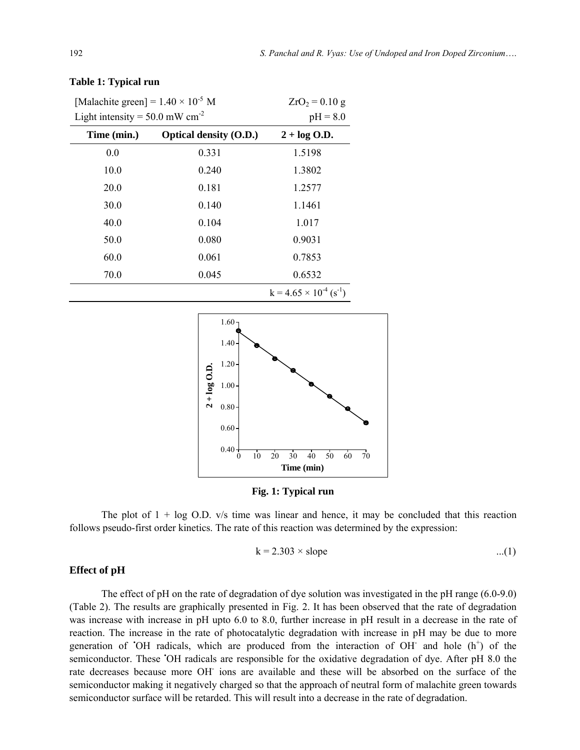| [Malachite green] = $1.40 \times 10^{-5}$ M  |                               | $ZrO_2 = 0.10 g$                   |
|----------------------------------------------|-------------------------------|------------------------------------|
| Light intensity = $50.0$ mW cm <sup>-2</sup> |                               | $pH = 8.0$                         |
| Time (min.)                                  | <b>Optical density (O.D.)</b> | $2 + \log$ O.D.                    |
| 0.0                                          | 0.331                         | 1.5198                             |
| 10.0                                         | 0.240                         | 1.3802                             |
| 20.0                                         | 0.181                         | 1.2577                             |
| 30.0                                         | 0.140                         | 1.1461                             |
| 40.0                                         | 0.104                         | 1.017                              |
| 50.0                                         | 0.080                         | 0.9031                             |
| 60.0                                         | 0.061                         | 0.7853                             |
| 70.0                                         | 0.045                         | 0.6532                             |
|                                              |                               | $k = 4.65 \times 10^{-4} (s^{-1})$ |

#### **Table 1: Typical run**



**Fig. 1: Typical run** 

The plot of  $1 + \log O.D.$  v/s time was linear and hence, it may be concluded that this reaction follows pseudo-first order kinetics. The rate of this reaction was determined by the expression:

$$
k = 2.303 \times slope \tag{1}
$$

#### **Effect of pH**

The effect of pH on the rate of degradation of dye solution was investigated in the pH range (6.0-9.0) (Table 2). The results are graphically presented in Fig. 2. It has been observed that the rate of degradation was increase with increase in pH upto 6.0 to 8.0, further increase in pH result in a decrease in the rate of reaction. The increase in the rate of photocatalytic degradation with increase in pH may be due to more generation of 'OH radicals, which are produced from the interaction of OH and hole (h<sup>+</sup>) of the semiconductor. These 'OH radicals are responsible for the oxidative degradation of dye. After pH 8.0 the rate decreases because more OH ions are available and these will be absorbed on the surface of the semiconductor making it negatively charged so that the approach of neutral form of malachite green towards semiconductor surface will be retarded. This will result into a decrease in the rate of degradation.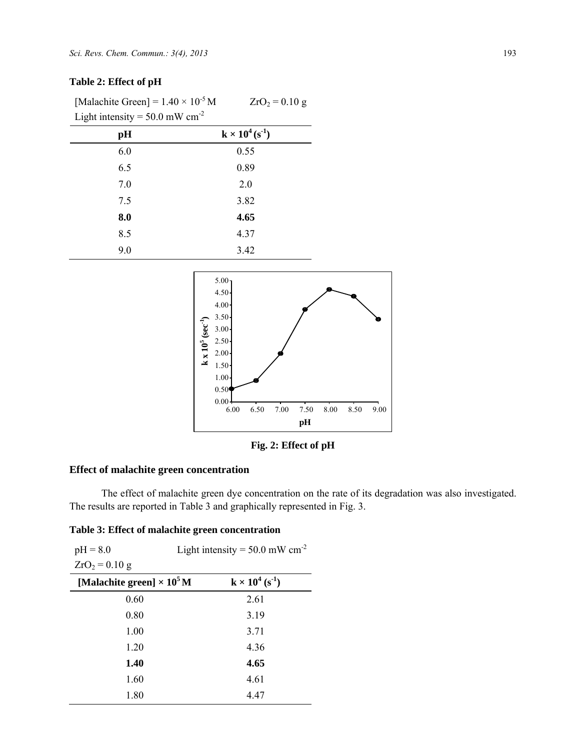# **Table 2: Effect of pH**

[Malachite Green] =  $1.40 \times 10^{-5}$  M Light intensity =  $50.0$  mW cm<sup>-2</sup>

| ັ<br>╯ |                          |
|--------|--------------------------|
| pH     | $k \times 10^4 (s^{-1})$ |
| 6.0    | 0.55                     |
| 6.5    | 0.89                     |
| 7.0    | 2.0                      |
| 7.5    | 3.82                     |
| 8.0    | 4.65                     |
| 8.5    | 4.37                     |
| 9.0    | 3.42                     |



 $ZrO_2 = 0.10 g$ 

**Fig. 2: Effect of pH** 

# **Effect of malachite green concentration**

The effect of malachite green dye concentration on the rate of its degradation was also investigated. The results are reported in Table 3 and graphically represented in Fig. 3.

## **Table 3: Effect of malachite green concentration**

| Light intensity = $50.0$ mW cm <sup>-2</sup><br>$pH = 8.0$ |                                    |
|------------------------------------------------------------|------------------------------------|
| $ZrO_2 = 0.10 g$                                           |                                    |
| [Malachite green] $\times 10^5$ M                          | $k \times 10^4$ (s <sup>-1</sup> ) |
| 0.60                                                       | 2.61                               |
| 0.80                                                       | 3.19                               |
| 1.00                                                       | 3.71                               |
| 1.20                                                       | 4.36                               |
| 1.40                                                       | 4.65                               |
| 1.60                                                       | 4.61                               |
| 1.80                                                       | 4.47                               |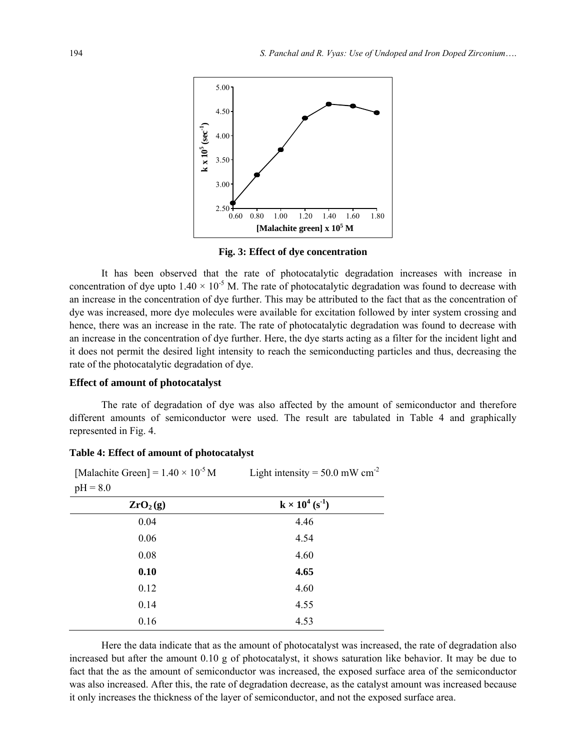

**Fig. 3: Effect of dye concentration** 

It has been observed that the rate of photocatalytic degradation increases with increase in concentration of dye upto  $1.40 \times 10^{-5}$  M. The rate of photocatalytic degradation was found to decrease with an increase in the concentration of dye further. This may be attributed to the fact that as the concentration of dye was increased, more dye molecules were available for excitation followed by inter system crossing and hence, there was an increase in the rate. The rate of photocatalytic degradation was found to decrease with an increase in the concentration of dye further. Here, the dye starts acting as a filter for the incident light and it does not permit the desired light intensity to reach the semiconducting particles and thus, decreasing the rate of the photocatalytic degradation of dye.

#### **Effect of amount of photocatalyst**

[Malachite Green] =  $1.40 \times 10^{-5}$  M

The rate of degradation of dye was also affected by the amount of semiconductor and therefore different amounts of semiconductor were used. The result are tabulated in Table 4 and graphically represented in Fig. 4.

Light intensity  $= 50.0$  mW cm<sup>-2</sup>

| $pH = 8.0$           |                                    |  |
|----------------------|------------------------------------|--|
| ZrO <sub>2</sub> (g) | $k \times 10^4$ (s <sup>-1</sup> ) |  |
| 0.04                 | 4.46                               |  |
| 0.06                 | 4.54                               |  |
| 0.08                 | 4.60                               |  |
| 0.10                 | 4.65                               |  |
| 0.12                 | 4.60                               |  |
| 0.14                 | 4.55                               |  |
| 0.16                 | 4.53                               |  |

#### **Table 4: Effect of amount of photocatalyst**

Here the data indicate that as the amount of photocatalyst was increased, the rate of degradation also increased but after the amount 0.10 g of photocatalyst, it shows saturation like behavior. It may be due to fact that the as the amount of semiconductor was increased, the exposed surface area of the semiconductor was also increased. After this, the rate of degradation decrease, as the catalyst amount was increased because it only increases the thickness of the layer of semiconductor, and not the exposed surface area.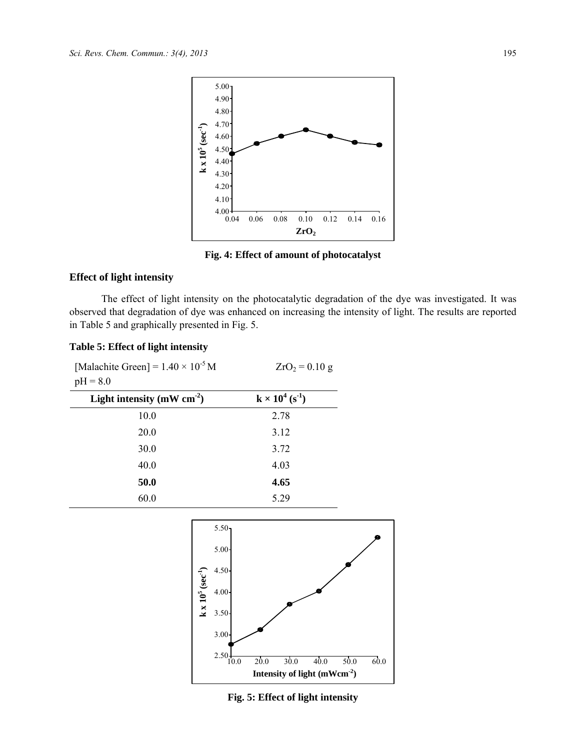

**Fig. 4: Effect of amount of photocatalyst** 

# **Effect of light intensity**

The effect of light intensity on the photocatalytic degradation of the dye was investigated. It was observed that degradation of dye was enhanced on increasing the intensity of light. The results are reported in Table 5 and graphically presented in Fig. 5.

# **Table 5: Effect of light intensity**

| [Malachite Green] = $1.40 \times 10^{-5}$ M<br>$pH = 8.0$ | $ZrO_2 = 0.10 g$                   |
|-----------------------------------------------------------|------------------------------------|
| Light intensity ( $mW$ cm <sup>-2</sup> )                 | $k \times 10^4$ (s <sup>-1</sup> ) |
| 10.0                                                      | 2.78                               |
| 20.0                                                      | 3.12                               |
| 30.0                                                      | 3.72                               |
| 40.0                                                      | 4.03                               |
| 50.0                                                      | 4.65                               |
| 60.0                                                      | 5.29                               |



**Fig. 5: Effect of light intensity**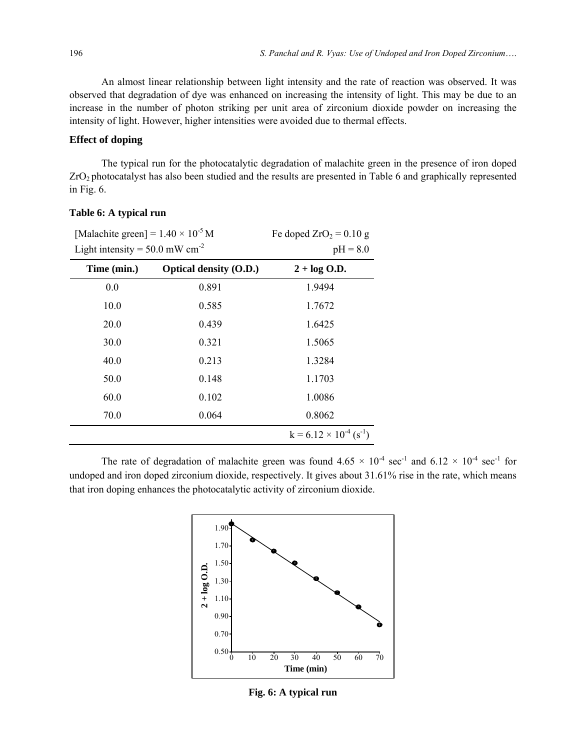An almost linear relationship between light intensity and the rate of reaction was observed. It was observed that degradation of dye was enhanced on increasing the intensity of light. This may be due to an increase in the number of photon striking per unit area of zirconium dioxide powder on increasing the intensity of light. However, higher intensities were avoided due to thermal effects.

#### **Effect of doping**

The typical run for the photocatalytic degradation of malachite green in the presence of iron doped ZrO2 photocatalyst has also been studied and the results are presented in Table 6 and graphically represented in Fig. 6.

| [Malachite green] = $1.40 \times 10^{-5}$ M  |                               | Fe doped $ZrO_2 = 0.10 g$          |
|----------------------------------------------|-------------------------------|------------------------------------|
| Light intensity = $50.0$ mW cm <sup>-2</sup> |                               | $pH = 8.0$                         |
| Time (min.)                                  | <b>Optical density (O.D.)</b> | $2 + \log$ O.D.                    |
| 0.0                                          | 0.891                         | 1.9494                             |
| 10.0                                         | 0.585                         | 1.7672                             |
| 20.0                                         | 0.439                         | 1.6425                             |
| 30.0                                         | 0.321                         | 1.5065                             |
| 40.0                                         | 0.213                         | 1.3284                             |
| 50.0                                         | 0.148                         | 1.1703                             |
| 60.0                                         | 0.102                         | 1.0086                             |
| 70.0                                         | 0.064                         | 0.8062                             |
|                                              |                               | $k = 6.12 \times 10^{-4} (s^{-1})$ |

# **Table 6: A typical run**

The rate of degradation of malachite green was found  $4.65 \times 10^{-4}$  sec<sup>-1</sup> and  $6.12 \times 10^{-4}$  sec<sup>-1</sup> for undoped and iron doped zirconium dioxide, respectively. It gives about 31.61% rise in the rate, which means that iron doping enhances the photocatalytic activity of zirconium dioxide.



**Fig. 6: A typical run**